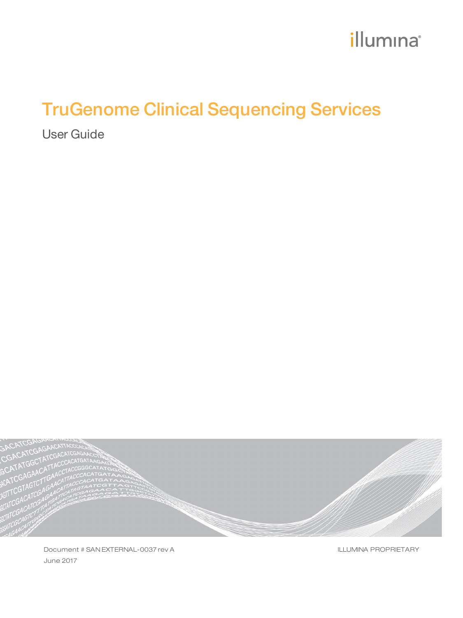# illumina®

# TruGenome Clinical Sequencing Services

User Guide



Document # SAN EXTERNAL-0037 rev A June 2017

ILLUMINA PROPRIETARY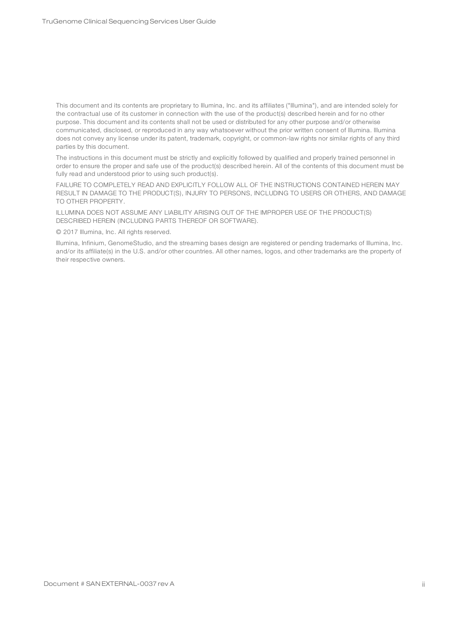This document and its contents are proprietary to Illumina, Inc. and its affiliates ("Illumina"), and are intended solely for the contractual use of its customer in connection with the use of the product(s) described herein and for no other purpose. This document and its contents shall not be used or distributed for any other purpose and/or otherwise communicated, disclosed, or reproduced in any way whatsoever without the prior written consent of Illumina. Illumina does not convey any license under its patent, trademark, copyright, or common-law rights nor similar rights of any third parties by this document.

The instructions in this document must be strictly and explicitly followed by qualified and properly trained personnel in order to ensure the proper and safe use of the product(s) described herein. All of the contents of this document must be fully read and understood prior to using such product(s).

FAILURE TO COMPLETELY READ AND EXPLICITLY FOLLOW ALL OF THE INSTRUCTIONS CONTAINED HEREIN MAY RESULT IN DAMAGE TO THE PRODUCT(S), INJURY TO PERSONS, INCLUDING TO USERS OR OTHERS, AND DAMAGE TO OTHER PROPERTY.

ILLUMINA DOES NOT ASSUME ANY LIABILITY ARISING OUT OF THE IMPROPER USE OF THE PRODUCT(S) DESCRIBED HEREIN (INCLUDING PARTS THEREOF OR SOFTWARE).

© 2017 Illumina, Inc. All rights reserved.

Illumina, Infinium, GenomeStudio, and the streaming bases design are registered or pending trademarks of Illumina, Inc. and/or its affiliate(s) in the U.S. and/or other countries. All other names, logos, and other trademarks are the property of their respective owners.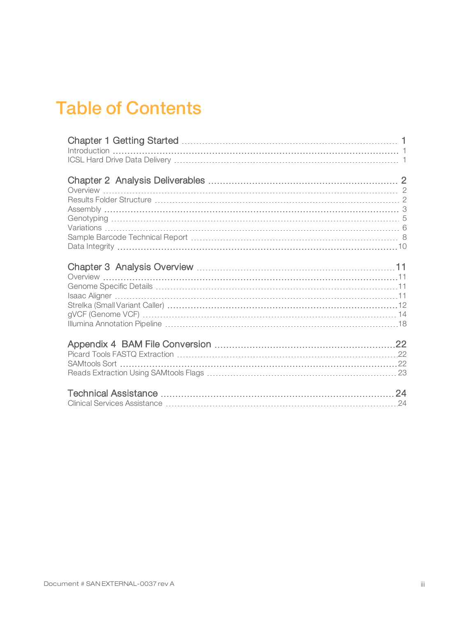### Table of Contents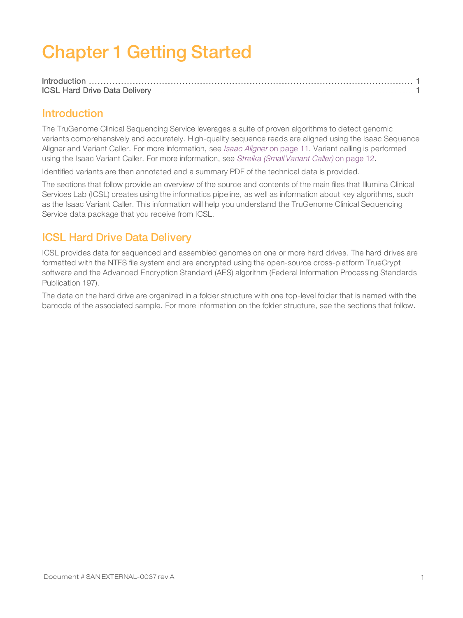# <span id="page-3-0"></span>Chapter 1 Getting Started

#### <span id="page-3-1"></span>Introduction

The TruGenome Clinical Sequencing Service leverages a suite of proven algorithms to detect genomic variants comprehensively and accurately. High-quality sequence reads are aligned using the Isaac Sequence [Aligner](#page-13-3) and Variant Caller. For more information, see Isaac Aligner on page 11. Variant calling is performed using the Isaac Variant Caller. For more information, see Strelka [\(Small Variant](#page-14-0) Caller) on page 12.

Identified variants are then annotated and a summary PDF of the technical data is provided.

The sections that follow provide an overview of the source and contents of the main files that Illumina Clinical Services Lab (ICSL) creates using the informatics pipeline, as well as information about key algorithms, such as the Isaac Variant Caller. This information will help you understand the TruGenome Clinical Sequencing Service data package that you receive from ICSL.

#### <span id="page-3-2"></span>ICSL Hard Drive Data Delivery

ICSL provides data for sequenced and assembled genomes on one or more hard drives. The hard drives are formatted with the NTFS file system and are encrypted using the open-source cross-platform TrueCrypt software and the Advanced Encryption Standard (AES) algorithm (Federal Information Processing Standards Publication 197).

The data on the hard drive are organized in a folder structure with one top-level folder that is named with the barcode of the associated sample. For more information on the folder structure, see the sections that follow.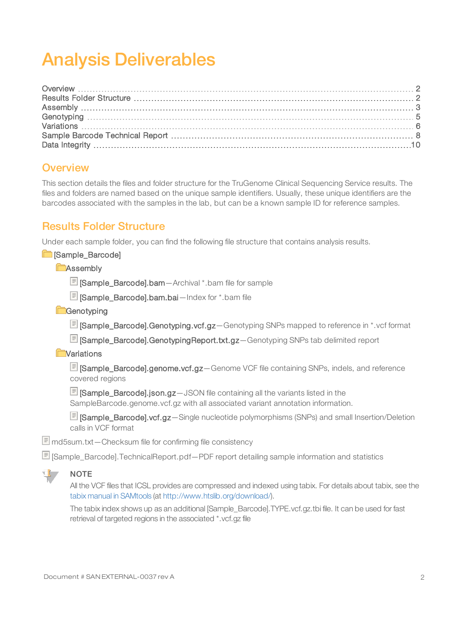# <span id="page-4-0"></span>Analysis Deliverables

#### <span id="page-4-1"></span>**Overview**

This section details the files and folder structure for the TruGenome Clinical Sequencing Service results. The files and folders are named based on the unique sample identifiers. Usually, these unique identifiers are the barcodes associated with the samples in the lab, but can be a known sample ID for reference samples.

#### <span id="page-4-2"></span>Results Folder Structure

Under each sample folder, you can find the following file structure that contains analysis results.

**E** [Sample\_Barcode]

**CAssembly** 

**E** [Sample\_Barcode].bam - Archival \*.bam file for sample

[Sample\_Barcode].bam.bai—Index for \*.bam file

**Genotyping** 

**同 [Sample\_Barcode].Genotyping.vcf.gz**—Genotyping SNPs mapped to reference in \*.vcf format

[Sample\_Barcode].GenotypingReport.txt.gz—Genotyping SNPs tab delimited report

**E**Variations

[Sample\_Barcode].genome.vcf.gz—Genome VCF file containing SNPs, indels, and reference covered regions

**同 Sample\_Barcodel.json.gz**—JSON file containing all the variants listed in the SampleBarcode.genome.vcf.gz with all associated variant annotation information.

[Sample\_Barcode].vcf.gz—Single nucleotide polymorphisms (SNPs) and small Insertion/Deletion calls in VCF format

md5sum.txt—Checksum file for confirming file consistency

[Sample\_Barcode].TechnicalReport.pdf—PDF report detailing sample information and statistics



#### **NOTE**

All the VCF files that ICSL provides are compressed and indexed using tabix. For details about tabix, see the tabix manual in [SAMtools](http://www.htslib.org/download/) (at <http://www.htslib.org/download/>).

The tabix index shows up as an additional [Sample\_Barcode].TYPE.vcf.gz.tbi file. It can be used for fast retrieval of targeted regions in the associated \*.vcf.gz file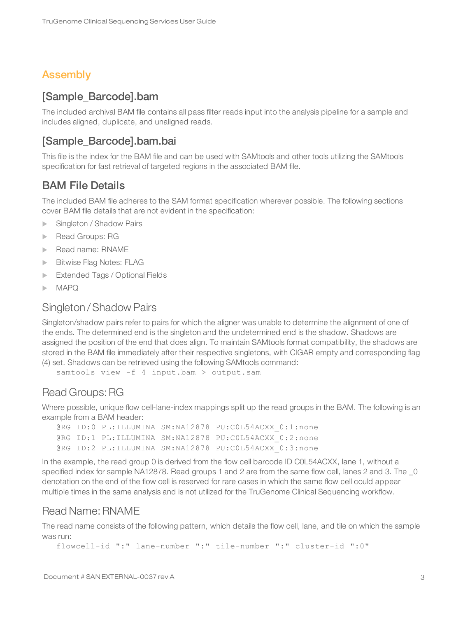#### <span id="page-5-0"></span>Assembly

#### [Sample\_Barcode].bam

The included archival BAM file contains all pass filter reads input into the analysis pipeline for a sample and includes aligned, duplicate, and unaligned reads.

#### [Sample\_Barcode].bam.bai

This file is the index for the BAM file and can be used with SAMtools and other tools utilizing the SAMtools specification for fast retrieval of targeted regions in the associated BAM file.

#### BAM File Details

The included BAM file adheres to the SAM format specification wherever possible. The following sections cover BAM file details that are not evident in the specification:

- Singleton / Shadow Pairs
- Read Groups: RG
- Read name: RNAME
- **Bitwise Flag Notes: FLAG**
- **Extended Tags / Optional Fields**
- $\blacktriangleright$  MAPQ

#### Singleton /Shadow Pairs

Singleton/shadow pairs refer to pairs for which the aligner was unable to determine the alignment of one of the ends. The determined end is the singleton and the undetermined end is the shadow. Shadows are assigned the position of the end that does align. To maintain SAMtools format compatibility, the shadows are stored in the BAM file immediately after their respective singletons, with CIGAR empty and corresponding flag (4) set. Shadows can be retrieved using the following SAMtools command:

samtools view -f 4 input.bam > output.sam

#### Read Groups:RG

Where possible, unique flow cell-lane-index mappings split up the read groups in the BAM. The following is an example from a BAM header:

@RG ID:0 PL:ILLUMINA SM:NA12878 PU:C0L54ACXX\_0:1:none @RG ID:1 PL:ILLUMINA SM:NA12878 PU:C0L54ACXX\_0:2:none @RG ID:2 PL:ILLUMINA SM:NA12878 PU:COL54ACXX 0:3:none

In the example, the read group 0 is derived from the flow cell barcode ID C0L54ACXX, lane 1, without a specified index for sample NA12878. Read groups 1 and 2 are from the same flow cell, lanes 2 and 3. The  $\_0$ denotation on the end of the flow cell is reserved for rare cases in which the same flow cell could appear multiple times in the same analysis and is not utilized for the TruGenome Clinical Sequencing workflow.

#### Read Name: RNAME

The read name consists of the following pattern, which details the flow cell, lane, and tile on which the sample was run:

```
flowcell-id ":" lane-number ":" tile-number ":" cluster-id ":0"
```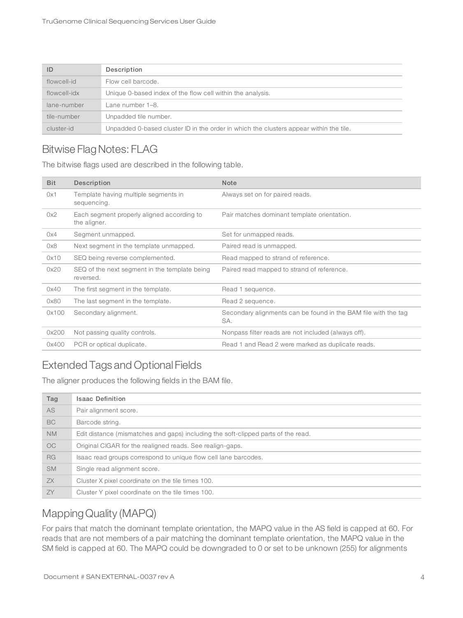| ID           | Description                                                                            |
|--------------|----------------------------------------------------------------------------------------|
| flowcell-id  | Flow cell barcode.                                                                     |
| flowcell-idx | Unique 0-based index of the flow cell within the analysis.                             |
| lane-number  | Lane number 1–8.                                                                       |
| tile-number  | Unpadded tile number.                                                                  |
| cluster-id   | Unpadded 0-based cluster ID in the order in which the clusters appear within the tile. |

### Bitwise Flag Notes: FLAG

The bitwise flags used are described in the following table.

| <b>Bit</b> | Description                                                | <b>Note</b>                                                           |
|------------|------------------------------------------------------------|-----------------------------------------------------------------------|
| 0x1        | Template having multiple segments in<br>sequencing.        | Always set on for paired reads.                                       |
| 0x2        | Each segment properly aligned according to<br>the aligner. | Pair matches dominant template orientation.                           |
| 0x4        | Segment unmapped.                                          | Set for unmapped reads.                                               |
| 0x8        | Next segment in the template unmapped.                     | Paired read is unmapped.                                              |
| 0x10       | SEQ being reverse complemented.                            | Read mapped to strand of reference.                                   |
| 0x20       | SEQ of the next segment in the template being<br>reversed. | Paired read mapped to strand of reference.                            |
| 0x40       | The first segment in the template.                         | Read 1 sequence.                                                      |
| 0x80       | The last segment in the template.                          | Read 2 sequence.                                                      |
| 0x100      | Secondary alignment.                                       | Secondary alignments can be found in the BAM file with the tag<br>SA. |
| 0x200      | Not passing quality controls.                              | Nonpass filter reads are not included (always off).                   |
| 0x400      | PCR or optical duplicate.                                  | Read 1 and Read 2 were marked as duplicate reads.                     |

### Extended Tags and Optional Fields

The aligner produces the following fields in the BAM file.

| Tag       | <b>Isaac Definition</b>                                                           |
|-----------|-----------------------------------------------------------------------------------|
| AS.       | Pair alignment score.                                                             |
| BC        | Barcode string.                                                                   |
| <b>NM</b> | Edit distance (mismatches and gaps) including the soft-clipped parts of the read. |
| OC.       | Original CIGAR for the realigned reads. See realign-gaps.                         |
| <b>RG</b> | Isaac read groups correspond to unique flow cell lane barcodes.                   |
| <b>SM</b> | Single read alignment score.                                                      |
| ZX        | Cluster X pixel coordinate on the tile times 100.                                 |
| ZY        | Cluster Y pixel coordinate on the tile times 100.                                 |

#### Mapping Quality (MAPQ)

For pairs that match the dominant template orientation, the MAPQ value in the AS field is capped at 60. For reads that are not members of a pair matching the dominant template orientation, the MAPQ value in the SM field is capped at 60. The MAPQ could be downgraded to 0 or set to be unknown (255) for alignments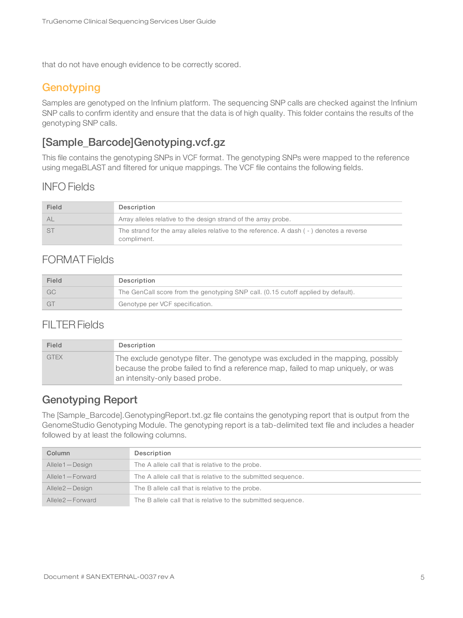<span id="page-7-0"></span>that do not have enough evidence to be correctly scored.

#### **Genotyping**

Samples are genotyped on the Infinium platform. The sequencing SNP calls are checked against the Infinium SNP calls to confirm identity and ensure that the data is of high quality. This folder contains the results of the genotyping SNP calls.

#### [Sample\_Barcode]Genotyping.vcf.gz

This file contains the genotyping SNPs in VCF format. The genotyping SNPs were mapped to the reference using megaBLAST and filtered for unique mappings. The VCF file contains the following fields.

#### INFO Fields

| Field | Description                                                                                             |
|-------|---------------------------------------------------------------------------------------------------------|
| AL    | Array alleles relative to the design strand of the array probe.                                         |
|       | The strand for the array alleles relative to the reference. A dash (-) denotes a reverse<br>compliment. |

#### FORMAT Fields

| Field | Description                                                                       |
|-------|-----------------------------------------------------------------------------------|
| - GC  | The GenCall score from the genotyping SNP call. (0.15 cutoff applied by default). |
| GT.   | Genotype per VCF specification.                                                   |

#### FILTERFields

| Field       | Description                                                                                                                                                                                           |
|-------------|-------------------------------------------------------------------------------------------------------------------------------------------------------------------------------------------------------|
| <b>GTEX</b> | The exclude genotype filter. The genotype was excluded in the mapping, possibly<br>because the probe failed to find a reference map, failed to map uniquely, or was<br>an intensity-only based probe. |

#### Genotyping Report

The [Sample\_Barcode].GenotypingReport.txt.gz file contains the genotyping report that is output from the GenomeStudio Genotyping Module. The genotyping report is a tab-delimited text file and includes a header followed by at least the following columns.

| Column          | Description                                                   |
|-----------------|---------------------------------------------------------------|
| Allele1-Design  | The A allele call that is relative to the probe.              |
| Allele1-Forward | The A allele call that is relative to the submitted sequence. |
| Allele2-Design  | The B allele call that is relative to the probe.              |
| Allele2-Forward | The B allele call that is relative to the submitted sequence. |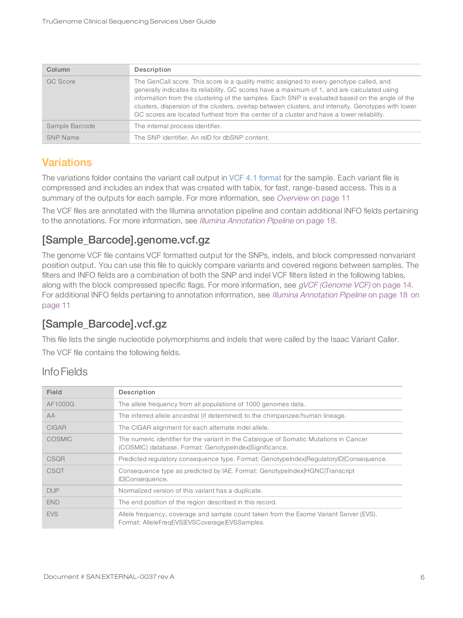| Column          | Description                                                                                                                                                                                                                                                                                                                                                                                                                                                                                     |
|-----------------|-------------------------------------------------------------------------------------------------------------------------------------------------------------------------------------------------------------------------------------------------------------------------------------------------------------------------------------------------------------------------------------------------------------------------------------------------------------------------------------------------|
| GC Score        | The GenCall score. This score is a quality metric assigned to every genotype called, and<br>generally indicates its reliability. GC scores have a maximum of 1, and are calculated using<br>information from the clustering of the samples. Each SNP is evaluated based on the angle of the<br>clusters, dispersion of the clusters, overlap between clusters, and intensity. Genotypes with lower<br>GC scores are located furthest from the center of a cluster and have a lower reliability. |
| Sample Barcode  | The internal process identifier.                                                                                                                                                                                                                                                                                                                                                                                                                                                                |
| <b>SNP Name</b> | The SNP identifier. An rsID for dbSNP content.                                                                                                                                                                                                                                                                                                                                                                                                                                                  |

#### <span id="page-8-0"></span>**Variations**

The variations folder contains the variant call output in VCF 4.1 [format](http://www.1000genomes.org/wiki/Analysis/Variant Call Format/vcf-variant-call-format-version-41) for the sample. Each variant file is compressed and includes an index that was created with tabix, for fast, range-based access. This is a summary of the outputs for each sample. For more information, see [Overview](#page-13-1) on page 11

The VCF files are annotated with the Illumina annotation pipeline and contain additional INFO fields pertaining to the annotations. For more information, see Illumina [Annotation](#page-20-0) Pipeline on page 18.

### [Sample\_Barcode].genome.vcf.gz

The genome VCF file contains VCF formatted output for the SNPs, indels, and block compressed nonvariant position output. You can use this file to quickly compare variants and covered regions between samples. The filters and INFO fields are a combination of both the SNP and indel VCF filters listed in the following tables, along with the block compressed specific flags. For more information, see gVCF [\(Genome](#page-16-0) VCF) on page 14. For additional INFO fields pertaining to annotation information, see Illumina [Annotation](#page-20-0) Pipeline [on](#page-13-0) page 18 on [page](#page-13-0) 11

### [Sample\_Barcode].vcf.gz

This file lists the single nucleotide polymorphisms and indels that were called by the Isaac Variant Caller. The VCF file contains the following fields.

#### Info Fields

| Field         | Description                                                                                                                                      |
|---------------|--------------------------------------------------------------------------------------------------------------------------------------------------|
| AF1000G       | The allele frequency from all populations of 1000 genomes data.                                                                                  |
| <b>AA</b>     | The inferred allele ancestral (if determined) to the chimpanzee/human lineage.                                                                   |
| <b>CIGAR</b>  | The CIGAR alignment for each alternate indel allele.                                                                                             |
| <b>COSMIC</b> | The numeric identifier for the variant in the Catalogue of Somatic Mutations in Cancer<br>(COSMIC) database. Format: GenotypeIndex Significance. |
| <b>CSQR</b>   | Predicted regulatory consequence type. Format: GenotypeIndex RegulatoryID Consequence.                                                           |
| <b>CSQT</b>   | Consequence type as predicted by IAE. Format: GenotypeIndex HGNC Transcript<br>ID Consequence.                                                   |
| <b>DUP</b>    | Normalized version of this variant has a duplicate.                                                                                              |
| <b>END</b>    | The end position of the region described in this record.                                                                                         |
| <b>EVS</b>    | Allele frequency, coverage and sample count taken from the Exome Variant Server (EVS).<br>Format: AlleleFregEVS EVSCoverage EVSSamples.          |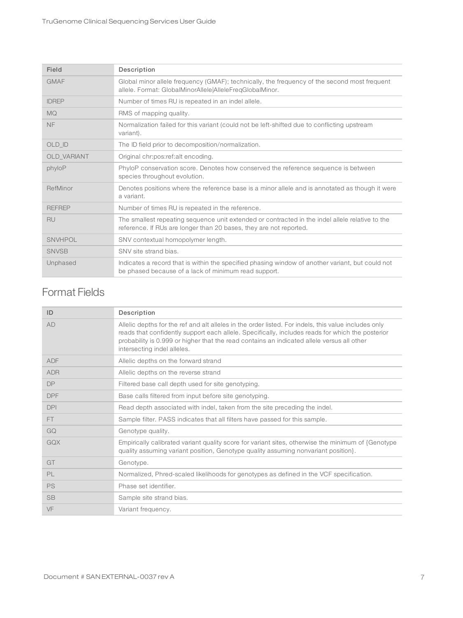| Field         | Description                                                                                                                                                           |
|---------------|-----------------------------------------------------------------------------------------------------------------------------------------------------------------------|
| <b>GMAF</b>   | Global minor allele frequency (GMAF); technically, the frequency of the second most frequent<br>allele. Format: GlobalMinorAllele AlleleFreqGlobalMinor.              |
| <b>IDREP</b>  | Number of times RU is repeated in an indel allele.                                                                                                                    |
| <b>MQ</b>     | RMS of mapping quality.                                                                                                                                               |
| <b>NF</b>     | Normalization failed for this variant (could not be left-shifted due to conflicting upstream<br>variant).                                                             |
| OLD ID        | The ID field prior to decomposition/normalization.                                                                                                                    |
| OLD_VARIANT   | Original chr:pos:ref:alt encoding.                                                                                                                                    |
| phyloP        | PhyloP conservation score. Denotes how conserved the reference sequence is between<br>species throughout evolution.                                                   |
| RefMinor      | Denotes positions where the reference base is a minor allele and is annotated as though it were<br>a variant.                                                         |
| <b>REFREP</b> | Number of times RU is repeated in the reference.                                                                                                                      |
| <b>RU</b>     | The smallest repeating sequence unit extended or contracted in the indel allele relative to the<br>reference. If RUs are longer than 20 bases, they are not reported. |
| SNVHPOL       | SNV contextual homopolymer length.                                                                                                                                    |
| <b>SNVSB</b>  | SNV site strand bias.                                                                                                                                                 |
| Unphased      | Indicates a record that is within the specified phasing window of another variant, but could not<br>be phased because of a lack of minimum read support.              |

#### Format Fields

| ID         | Description                                                                                                                                                                                                                                                                                                                           |
|------------|---------------------------------------------------------------------------------------------------------------------------------------------------------------------------------------------------------------------------------------------------------------------------------------------------------------------------------------|
| AD         | Allelic depths for the ref and alt alleles in the order listed. For indels, this value includes only<br>reads that confidently support each allele. Specifically, includes reads for which the posterior<br>probability is 0.999 or higher that the read contains an indicated allele versus all other<br>intersecting indel alleles. |
| <b>ADF</b> | Allelic depths on the forward strand                                                                                                                                                                                                                                                                                                  |
| <b>ADR</b> | Allelic depths on the reverse strand                                                                                                                                                                                                                                                                                                  |
| <b>DP</b>  | Filtered base call depth used for site genotyping.                                                                                                                                                                                                                                                                                    |
| <b>DPF</b> | Base calls filtered from input before site genotyping.                                                                                                                                                                                                                                                                                |
| <b>DPI</b> | Read depth associated with indel, taken from the site preceding the indel.                                                                                                                                                                                                                                                            |
| FT.        | Sample filter. PASS indicates that all filters have passed for this sample.                                                                                                                                                                                                                                                           |
| GQ         | Genotype quality.                                                                                                                                                                                                                                                                                                                     |
| GOX        | Empirically calibrated variant quality score for variant sites, otherwise the minimum of {Genotype}<br>quality assuming variant position, Genotype quality assuming nonvariant position.                                                                                                                                              |
| GT         | Genotype.                                                                                                                                                                                                                                                                                                                             |
| PL         | Normalized, Phred-scaled likelihoods for genotypes as defined in the VCF specification.                                                                                                                                                                                                                                               |
| <b>PS</b>  | Phase set identifier.                                                                                                                                                                                                                                                                                                                 |
| <b>SB</b>  | Sample site strand bias.                                                                                                                                                                                                                                                                                                              |
| VF         | Variant frequency.                                                                                                                                                                                                                                                                                                                    |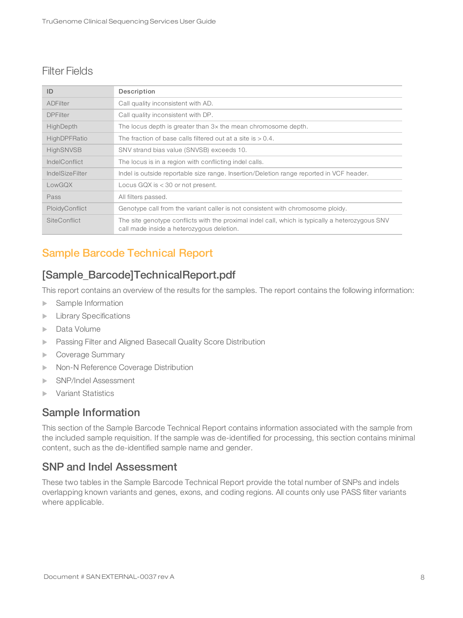#### Filter Fields

| ID                     | Description                                                                                                                                  |
|------------------------|----------------------------------------------------------------------------------------------------------------------------------------------|
| <b>ADFilter</b>        | Call quality inconsistent with AD.                                                                                                           |
| <b>DPFilter</b>        | Call quality inconsistent with DP.                                                                                                           |
| HighDepth              | The locus depth is greater than 3x the mean chromosome depth.                                                                                |
| HighDPFRatio           | The fraction of base calls filtered out at a site is $> 0.4$ .                                                                               |
| <b>HighSNVSB</b>       | SNV strand bias value (SNVSB) exceeds 10.                                                                                                    |
| IndelConflict          | The locus is in a region with conflicting indel calls.                                                                                       |
| <b>IndelSizeFilter</b> | Indel is outside reportable size range. Insertion/Deletion range reported in VCF header.                                                     |
| LowGOX                 | Locus GQX is $<$ 30 or not present.                                                                                                          |
| Pass                   | All filters passed.                                                                                                                          |
| PloidyConflict         | Genotype call from the variant caller is not consistent with chromosome ploidy.                                                              |
| <b>SiteConflict</b>    | The site genotype conflicts with the proximal indel call, which is typically a heterozygous SNV<br>call made inside a heterozygous deletion. |

### <span id="page-10-0"></span>Sample Barcode Technical Report

#### [Sample\_Barcode]TechnicalReport.pdf

This report contains an overview of the results for the samples. The report contains the following information:

- $\blacktriangleright$  Sample Information
- $\blacktriangleright$  Library Specifications
- $\blacktriangleright$  Data Volume
- **Example 3** Passing Filter and Aligned Basecall Quality Score Distribution
- Coverage Summary
- **Non-N Reference Coverage Distribution**
- u SNP/Indel Assessment
- **Variant Statistics**

#### Sample Information

This section of the Sample Barcode Technical Report contains information associated with the sample from the included sample requisition. If the sample was de-identified for processing, this section contains minimal content, such as the de-identified sample name and gender.

#### SNP and Indel Assessment

These two tables in the Sample Barcode Technical Report provide the total number of SNPs and indels overlapping known variants and genes, exons, and coding regions. All counts only use PASS filter variants where applicable.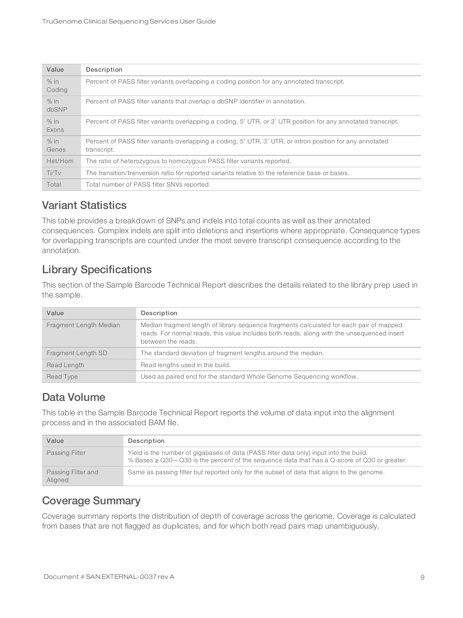| Value            | Description                                                                                                               |
|------------------|---------------------------------------------------------------------------------------------------------------------------|
| $%$ in<br>Coding | Percent of PASS filter variants overlapping a coding position for any annotated transcript.                               |
| $%$ in<br>dbSNP  | Percent of PASS filter variants that overlap a dbSNP identifier in annotation.                                            |
| $%$ in<br>Exons  | Percent of PASS filter variants overlapping a coding, 5' UTR, or 3' UTR position for any annotated transcript.            |
| % in<br>Genes    | Percent of PASS filter variants overlapping a coding, 5' UTR, 3' UTR, or intron position for any annotated<br>transcript. |
| Het/Hom          | The ratio of heterozygous to homozygous PASS filter variants reported.                                                    |
| Ti/TV            | The transition/tranversion ratio for reported variants relative to the reference base or bases.                           |
| Total            | Total number of PASS filter SNVs reported.                                                                                |

#### Variant Statistics

This table provides a breakdown of SNPs and indels into total counts as well as their annotated consequences. Complex indels are split into deletions and insertions where appropriate. Consequence types for overlapping transcripts are counted under the most severe transcript consequence according to the annotation.

#### Library Specifications

This section of the Sample Barcode Technical Report describes the details related to the library prep used in the sample.

| Value                  | Description                                                                                                                                                                                                 |
|------------------------|-------------------------------------------------------------------------------------------------------------------------------------------------------------------------------------------------------------|
| Fragment Length Median | Median fragment length of library sequence fragments calculated for each pair of mapped<br>reads. For normal reads, this value includes both reads, along with the unsequenced insert<br>between the reads. |
| Fragment Length SD     | The standard deviation of fragment lengths around the median.                                                                                                                                               |
| Read Length            | Read lengths used in the build.                                                                                                                                                                             |
| Read Type              | Used as paired end for the standard Whole Genome Sequencing workflow.                                                                                                                                       |

#### Data Volume

This table in the Sample Barcode Technical Report reports the volume of data input into the alignment process and in the associated BAM file.

| Value                         | Description                                                                                                                                                                                 |
|-------------------------------|---------------------------------------------------------------------------------------------------------------------------------------------------------------------------------------------|
| Passing Filter                | Yield is the number of gigabases of data (PASS filter data only) input into the build.<br>% Bases $\ge$ Q30 - Q30 is the percent of the sequence data that has a Q-score of Q30 or greater. |
| Passing Filter and<br>Aligned | Same as passing filter but reported only for the subset of data that aligns to the genome.                                                                                                  |

#### Coverage Summary

Coverage summary reports the distribution of depth of coverage across the genome. Coverage is calculated from bases that are not flagged as duplicates, and for which both read pairs map unambiguously.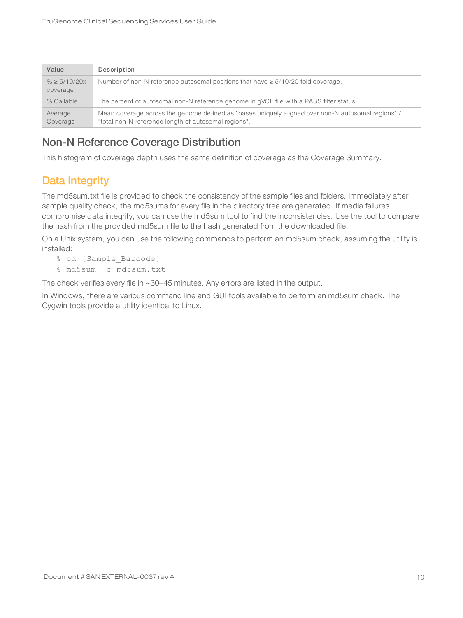| Value                         | Description                                                                                                                                                |
|-------------------------------|------------------------------------------------------------------------------------------------------------------------------------------------------------|
| $% \geq 5/10/20x$<br>coverage | Number of non-N reference autosomal positions that have $\geq 5/10/20$ fold coverage.                                                                      |
| % Callable                    | The percent of autosomal non-N reference genome in gVCF file with a PASS filter status.                                                                    |
| Average<br>Coverage           | Mean coverage across the genome defined as "bases uniquely aligned over non-N autosomal regions" /<br>"total non-N reference length of autosomal regions". |

#### Non-N Reference Coverage Distribution

<span id="page-12-0"></span>This histogram of coverage depth uses the same definition of coverage as the Coverage Summary.

#### Data Integrity

The md5sum.txt file is provided to check the consistency of the sample files and folders. Immediately after sample quality check, the md5sums for every file in the directory tree are generated. If media failures compromise data integrity, you can use the md5sum tool to find the inconsistencies. Use the tool to compare the hash from the provided md5sum file to the hash generated from the downloaded file.

On a Unix system, you can use the following commands to perform an md5sum check, assuming the utility is installed:

- % cd [Sample\_Barcode]
- % md5sum –c md5sum.txt

The check verifies every file in ~30-45 minutes. Any errors are listed in the output.

In Windows, there are various command line and GUI tools available to perform an md5sum check. The Cygwin tools provide a utility identical to Linux.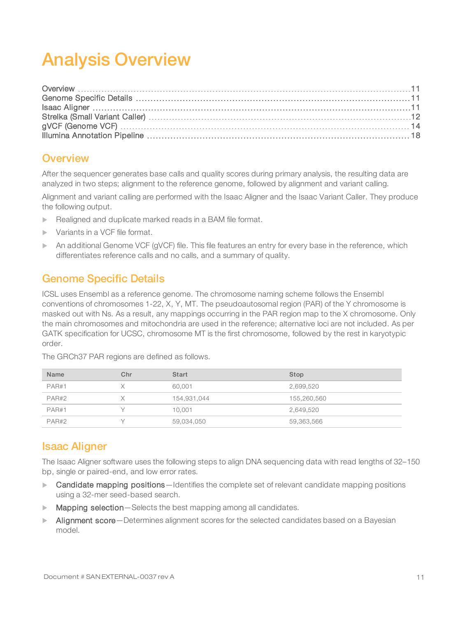# <span id="page-13-0"></span>Analysis Overview

#### <span id="page-13-1"></span>**Overview**

After the sequencer generates base calls and quality scores during primary analysis, the resulting data are analyzed in two steps; alignment to the reference genome, followed by alignment and variant calling.

Alignment and variant calling are performed with the Isaac Aligner and the Isaac Variant Caller. They produce the following output.

- $\blacktriangleright$  Realigned and duplicate marked reads in a BAM file format.
- Variants in a VCF file format.
- An additional Genome VCF (gVCF) file. This file features an entry for every base in the reference, which differentiates reference calls and no calls, and a summary of quality.

#### <span id="page-13-2"></span>Genome Specific Details

ICSL uses Ensembl as a reference genome. The chromosome naming scheme follows the Ensembl conventions of chromosomes 1-22, X, Y, MT. The pseudoautosomal region (PAR) of the Y chromosome is masked out with Ns. As a result, any mappings occurring in the PAR region map to the X chromosome. Only the main chromosomes and mitochondria are used in the reference; alternative loci are not included. As per GATK specification for UCSC, chromosome MT is the first chromosome, followed by the rest in karyotypic order.

| <b>Name</b> | Chr | <b>Start</b> | Stop        |
|-------------|-----|--------------|-------------|
| PAR#1       |     | 60.001       | 2,699,520   |
| PAR#2       |     | 154,931,044  | 155,260,560 |
| PAR#1       |     | 10,001       | 2,649,520   |
| PAR#2       |     | 59,034,050   | 59,363,566  |

The GRCh37 PAR regions are defined as follows.

#### <span id="page-13-3"></span>Isaac Aligner

The Isaac Aligner software uses the following steps to align DNA sequencing data with read lengths of 32–150 bp, single or paired-end, and low error rates.

- Candidate mapping positions-Identifies the complete set of relevant candidate mapping positions using a 32-mer seed-based search.
- $\blacktriangleright$  Mapping selection—Selects the best mapping among all candidates.
- $\blacktriangleright$  Alignment score—Determines alignment scores for the selected candidates based on a Bayesian model.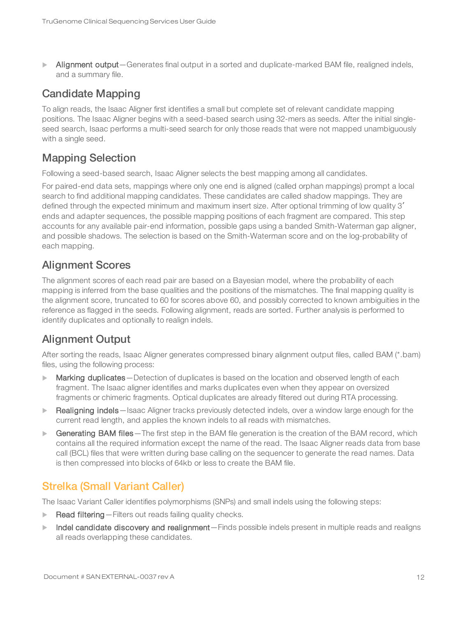Alignment output—Generates final output in a sorted and duplicate-marked BAM file, realigned indels, and a summary file.

#### Candidate Mapping

To align reads, the Isaac Aligner first identifies a small but complete set of relevant candidate mapping positions. The Isaac Aligner begins with a seed-based search using 32-mers as seeds. After the initial singleseed search, Isaac performs a multi-seed search for only those reads that were not mapped unambiguously with a single seed.

#### Mapping Selection

Following a seed-based search, Isaac Aligner selects the best mapping among all candidates.

For paired-end data sets, mappings where only one end is aligned (called orphan mappings) prompt a local search to find additional mapping candidates. These candidates are called shadow mappings. They are defined through the expected minimum and maximum insert size. After optional trimming of low quality 3′ ends and adapter sequences, the possible mapping positions of each fragment are compared. This step accounts for any available pair-end information, possible gaps using a banded Smith-Waterman gap aligner, and possible shadows. The selection is based on the Smith-Waterman score and on the log-probability of each mapping.

#### Alignment Scores

The alignment scores of each read pair are based on a Bayesian model, where the probability of each mapping is inferred from the base qualities and the positions of the mismatches. The final mapping quality is the alignment score, truncated to 60 for scores above 60, and possibly corrected to known ambiguities in the reference as flagged in the seeds. Following alignment, reads are sorted. Further analysis is performed to identify duplicates and optionally to realign indels.

#### Alignment Output

After sorting the reads, Isaac Aligner generates compressed binary alignment output files, called BAM (\*.bam) files, using the following process:

- **Marking duplicates** Detection of duplicates is based on the location and observed length of each fragment. The Isaac aligner identifies and marks duplicates even when they appear on oversized fragments or chimeric fragments. Optical duplicates are already filtered out during RTA processing.
- Realigning indels—Isaac Aligner tracks previously detected indels, over a window large enough for the current read length, and applies the known indels to all reads with mismatches.
- **Example 3** Generating BAM files The first step in the BAM file generation is the creation of the BAM record, which contains all the required information except the name of the read. The Isaac Aligner reads data from base call (BCL) files that were written during base calling on the sequencer to generate the read names. Data is then compressed into blocks of 64kb or less to create the BAM file.

#### <span id="page-14-0"></span>Strelka (Small Variant Caller)

The Isaac Variant Caller identifies polymorphisms (SNPs) and small indels using the following steps:

- Read filtering Filters out reads failing quality checks.
- Indel candidate discovery and realignment—Finds possible indels present in multiple reads and realigns all reads overlapping these candidates.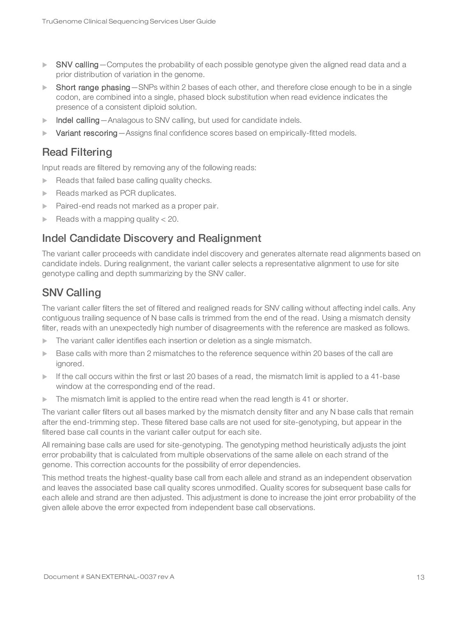- SNV calling Computes the probability of each possible genotype given the aligned read data and a prior distribution of variation in the genome.
- $\triangleright$  Short range phasing—SNPs within 2 bases of each other, and therefore close enough to be in a single codon, are combined into a single, phased block substitution when read evidence indicates the presence of a consistent diploid solution.
- Indel calling Analagous to SNV calling, but used for candidate indels.
- $\blacktriangleright$  Variant rescoring Assigns final confidence scores based on empirically-fitted models.

#### Read Filtering

Input reads are filtered by removing any of the following reads:

- $\blacktriangleright$  Reads that failed base calling quality checks.
- Reads marked as PCR duplicates.
- Paired-end reads not marked as a proper pair.
- Reads with a mapping quality  $<$  20.

#### Indel Candidate Discovery and Realignment

The variant caller proceeds with candidate indel discovery and generates alternate read alignments based on candidate indels. During realignment, the variant caller selects a representative alignment to use for site genotype calling and depth summarizing by the SNV caller.

#### SNV Calling

The variant caller filters the set of filtered and realigned reads for SNV calling without affecting indel calls. Any contiguous trailing sequence of N base calls is trimmed from the end of the read. Using a mismatch density filter, reads with an unexpectedly high number of disagreements with the reference are masked as follows.

- The variant caller identifies each insertion or deletion as a single mismatch.
- $\triangleright$  Base calls with more than 2 mismatches to the reference sequence within 20 bases of the call are ignored.
- If the call occurs within the first or last 20 bases of a read, the mismatch limit is applied to a 41-base window at the corresponding end of the read.
- $\triangleright$  The mismatch limit is applied to the entire read when the read length is 41 or shorter.

The variant caller filters out all bases marked by the mismatch density filter and any N base calls that remain after the end-trimming step. These filtered base calls are not used for site-genotyping, but appear in the filtered base call counts in the variant caller output for each site.

All remaining base calls are used for site-genotyping. The genotyping method heuristically adjusts the joint error probability that is calculated from multiple observations of the same allele on each strand of the genome. This correction accounts for the possibility of error dependencies.

This method treats the highest-quality base call from each allele and strand as an independent observation and leaves the associated base call quality scores unmodified. Quality scores for subsequent base calls for each allele and strand are then adjusted. This adjustment is done to increase the joint error probability of the given allele above the error expected from independent base call observations.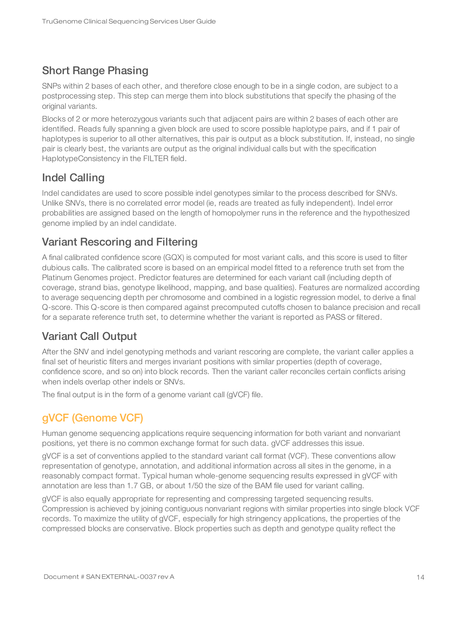### Short Range Phasing

SNPs within 2 bases of each other, and therefore close enough to be in a single codon, are subject to a postprocessing step. This step can merge them into block substitutions that specify the phasing of the original variants.

Blocks of 2 or more heterozygous variants such that adjacent pairs are within 2 bases of each other are identified. Reads fully spanning a given block are used to score possible haplotype pairs, and if 1 pair of haplotypes is superior to all other alternatives, this pair is output as a block substitution. If, instead, no single pair is clearly best, the variants are output as the original individual calls but with the specification HaplotypeConsistency in the FILTER field.

#### Indel Calling

Indel candidates are used to score possible indel genotypes similar to the process described for SNVs. Unlike SNVs, there is no correlated error model (ie, reads are treated as fully independent). Indel error probabilities are assigned based on the length of homopolymer runs in the reference and the hypothesized genome implied by an indel candidate.

#### Variant Rescoring and Filtering

A final calibrated confidence score (GQX) is computed for most variant calls, and this score is used to filter dubious calls. The calibrated score is based on an empirical model fitted to a reference truth set from the Platinum Genomes project. Predictor features are determined for each variant call (including depth of coverage, strand bias, genotype likelihood, mapping, and base qualities). Features are normalized according to average sequencing depth per chromosome and combined in a logistic regression model, to derive a final Q-score. This Q-score is then compared against precomputed cutoffs chosen to balance precision and recall for a separate reference truth set, to determine whether the variant is reported as PASS or filtered.

#### Variant Call Output

After the SNV and indel genotyping methods and variant rescoring are complete, the variant caller applies a final set of heuristic filters and merges invariant positions with similar properties (depth of coverage, confidence score, and so on) into block records. Then the variant caller reconciles certain conflicts arising when indels overlap other indels or SNVs.

<span id="page-16-0"></span>The final output is in the form of a genome variant call (gVCF) file.

### gVCF (Genome VCF)

Human genome sequencing applications require sequencing information for both variant and nonvariant positions, yet there is no common exchange format for such data. gVCF addresses this issue.

gVCF is a set of conventions applied to the standard variant call format (VCF). These conventions allow representation of genotype, annotation, and additional information across all sites in the genome, in a reasonably compact format. Typical human whole-genome sequencing results expressed in gVCF with annotation are less than 1.7 GB, or about 1/50 the size of the BAM file used for variant calling.

gVCF is also equally appropriate for representing and compressing targeted sequencing results. Compression is achieved by joining contiguous nonvariant regions with similar properties into single block VCF records. To maximize the utility of gVCF, especially for high stringency applications, the properties of the compressed blocks are conservative. Block properties such as depth and genotype quality reflect the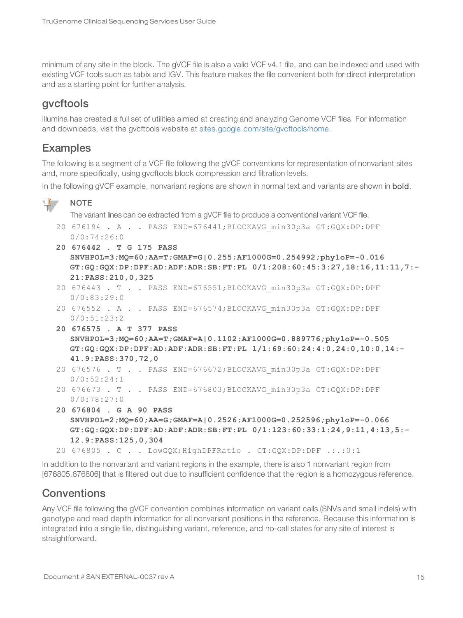minimum of any site in the block. The gVCF file is also a valid VCF v4.1 file, and can be indexed and used with existing VCF tools such as tabix and IGV. This feature makes the file convenient both for direct interpretation and as a starting point for further analysis.

#### gvcftools

Illumina has created a full set of utilities aimed at creating and analyzing Genome VCF files. For information and downloads, visit the gvcftools website at [sites.google.com/site/gvcftools/home](https://sites.google.com/site/gvcftools/home).

#### Examples

The following is a segment of a VCF file following the gVCF conventions for representation of nonvariant sites and, more specifically, using gvcftools block compression and filtration levels.

In the following gVCF example, nonvariant regions are shown in normal text and variants are shown in **bold**.

#### $\mathbf{H}$  , **NOTE**

The variant lines can be extracted from a gVCF file to produce a conventional variant VCF file.

```
20 676194 . A . . PASS END=676441;BLOCKAVG_min30p3a GT:GQX:DP:DPF
  0/0:74:26:0
```
- **20 676442 . T G 175 PASS SNVHPOL=3;MQ=60;AA=T;GMAF=G|0.255;AF1000G=0.254992;phyloP=-0.016 GT:GQ:GQX:DP:DPF:AD:ADF:ADR:SB:FT:PL 0/1:208:60:45:3:27,18:16,11:11,7:- 21:PASS:210,0,325**
- 20 676443 . T . . PASS END=676551;BLOCKAVG\_min30p3a GT:GQX:DP:DPF 0/0:83:29:0
- 20 676552 . A . . PASS END=676574;BLOCKAVG\_min30p3a GT:GQX:DP:DPF 0/0:51:23:2
- **20 676575 . A T 377 PASS SNVHPOL=3;MQ=60;AA=T;GMAF=A|0.1102;AF1000G=0.889776;phyloP=-0.505 GT:GQ:GQX:DP:DPF:AD:ADF:ADR:SB:FT:PL 1/1:69:60:24:4:0,24:0,10:0,14:- 41.9:PASS:370,72,0**
- 20 676576 . T . . PASS END=676672;BLOCKAVG\_min30p3a GT:GQX:DP:DPF 0/0:52:24:1
- 20 676673 . T . . PASS END=676803;BLOCKAVG\_min30p3a GT:GQX:DP:DPF 0/0:78:27:0
- **20 676804 . G A 90 PASS SNVHPOL=2;MQ=60;AA=G;GMAF=A|0.2526;AF1000G=0.252596;phyloP=-0.066 GT:GQ:GQX:DP:DPF:AD:ADF:ADR:SB:FT:PL 0/1:123:60:33:1:24,9:11,4:13,5:- 12.9:PASS:125,0,304**

20 676805 . C . . LowGQX;HighDPFRatio . GT:GQX:DP:DPF .:.:0:1

In addition to the nonvariant and variant regions in the example, there is also 1 nonvariant region from [676805,676806] that is filtered out due to insufficient confidence that the region is a homozygous reference.

#### **Conventions**

Any VCF file following the gVCF convention combines information on variant calls (SNVs and small indels) with genotype and read depth information for all nonvariant positions in the reference. Because this information is integrated into a single file, distinguishing variant, reference, and no-call states for any site of interest is straightforward.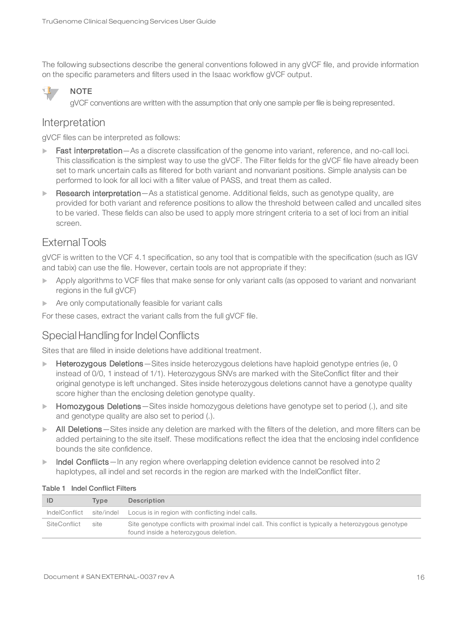The following subsections describe the general conventions followed in any gVCF file, and provide information on the specific parameters and filters used in the Isaac workflow gVCF output.



**NOTE** 

gVCF conventions are written with the assumption that only one sample per file is being represented.

#### Interpretation

gVCF files can be interpreted as follows:

- Fast interpretation—As a discrete classification of the genome into variant, reference, and no-call loci. This classification is the simplest way to use the gVCF. The Filter fields for the gVCF file have already been set to mark uncertain calls as filtered for both variant and nonvariant positions. Simple analysis can be performed to look for all loci with a filter value of PASS, and treat them as called.
- Research interpretation—As a statistical genome. Additional fields, such as genotype quality, are provided for both variant and reference positions to allow the threshold between called and uncalled sites to be varied. These fields can also be used to apply more stringent criteria to a set of loci from an initial screen.

#### ExternalTools

gVCF is written to the VCF 4.1 specification, so any tool that is compatible with the specification (such as IGV and tabix) can use the file. However, certain tools are not appropriate if they:

- Apply algorithms to VCF files that make sense for only variant calls (as opposed to variant and nonvariant regions in the full gVCF)
- $\blacktriangleright$  Are only computationally feasible for variant calls

For these cases, extract the variant calls from the full gVCF file.

#### Special Handling for Indel Conflicts

Sites that are filled in inside deletions have additional treatment.

- $\blacktriangleright$  Heterozygous Deletions Sites inside heterozygous deletions have haploid genotype entries (ie, 0 instead of 0/0, 1 instead of 1/1). Heterozygous SNVs are marked with the SiteConflict filter and their original genotype is left unchanged. Sites inside heterozygous deletions cannot have a genotype quality score higher than the enclosing deletion genotype quality.
- **Homozygous Deletions** Sites inside homozygous deletions have genotype set to period (.), and site and genotype quality are also set to period (.).
- In All Deletions Sites inside any deletion are marked with the filters of the deletion, and more filters can be added pertaining to the site itself. These modifications reflect the idea that the enclosing indel confidence bounds the site confidence.
- Indel Conflicts—In any region where overlapping deletion evidence cannot be resolved into 2 haplotypes, all indel and set records in the region are marked with the IndelConflict filter.

| ID                  | Tvpe | Description                                                                                                                                   |
|---------------------|------|-----------------------------------------------------------------------------------------------------------------------------------------------|
| IndelConflict       |      | site/indel Locus is in region with conflicting indel calls.                                                                                   |
| <b>SiteConflict</b> | site | Site genotype conflicts with proximal indel call. This conflict is typically a heterozygous genotype<br>found inside a heterozygous deletion. |

#### Table 1 Indel Conflict Filters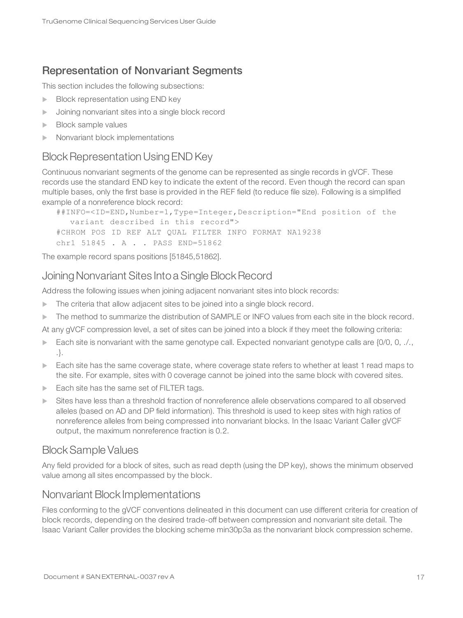#### Representation of Nonvariant Segments

This section includes the following subsections:

- $\blacktriangleright$  Block representation using END key
- $\blacktriangleright$  Joining nonvariant sites into a single block record
- $\blacktriangleright$  Block sample values
- Nonvariant block implementations

#### **Block Representation Using END Key**

Continuous nonvariant segments of the genome can be represented as single records in gVCF. These records use the standard END key to indicate the extent of the record. Even though the record can span multiple bases, only the first base is provided in the REF field (to reduce file size). Following is a simplified example of a nonreference block record:

```
##INFO=<ID=END,Number=1,Type=Integer,Description="End position of the
  variant described in this record">
#CHROM POS ID REF ALT QUAL FILTER INFO FORMAT NA19238
chr1 51845 . A . . PASS END=51862
```
The example record spans positions [51845,51862].

#### Joining Nonvariant Sites Into a Single Block Record

Address the following issues when joining adjacent nonvariant sites into block records:

- $\blacktriangleright$  The criteria that allow adjacent sites to be joined into a single block record.
- The method to summarize the distribution of SAMPLE or INFO values from each site in the block record.
- At any gVCF compression level, a set of sites can be joined into a block if they meet the following criteria:
- Each site is nonvariant with the same genotype call. Expected nonvariant genotype calls are  $\{0/0, 0, \ldots, \tau\}$ .}.
- $\blacktriangleright$  Each site has the same coverage state, where coverage state refers to whether at least 1 read maps to the site. For example, sites with 0 coverage cannot be joined into the same block with covered sites.
- $\blacktriangleright$  Each site has the same set of FILTER tags.
- $\triangleright$  Sites have less than a threshold fraction of nonreference allele observations compared to all observed alleles (based on AD and DP field information). This threshold is used to keep sites with high ratios of nonreference alleles from being compressed into nonvariant blocks. In the Isaac Variant Caller gVCF output, the maximum nonreference fraction is 0.2.

#### BlockSample Values

Any field provided for a block of sites, such as read depth (using the DP key), shows the minimum observed value among all sites encompassed by the block.

#### Nonvariant Block Implementations

Files conforming to the gVCF conventions delineated in this document can use different criteria for creation of block records, depending on the desired trade-off between compression and nonvariant site detail. The Isaac Variant Caller provides the blocking scheme min30p3a as the nonvariant block compression scheme.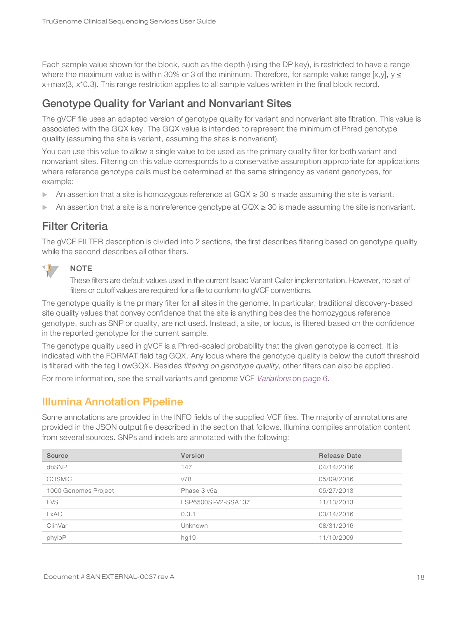Each sample value shown for the block, such as the depth (using the DP key), is restricted to have a range where the maximum value is within 30% or 3 of the minimum. Therefore, for sample value range [x,y],  $y \le$ x+max(3, x\*0.3). This range restriction applies to all sample values written in the final block record.

#### Genotype Quality for Variant and Nonvariant Sites

The gVCF file uses an adapted version of genotype quality for variant and nonvariant site filtration. This value is associated with the GQX key. The GQX value is intended to represent the minimum of Phred genotype quality (assuming the site is variant, assuming the sites is nonvariant).

You can use this value to allow a single value to be used as the primary quality filter for both variant and nonvariant sites. Filtering on this value corresponds to a conservative assumption appropriate for applications where reference genotype calls must be determined at the same stringency as variant genotypes, for example:

- An assertion that a site is homozygous reference at GQX ≥ 30 is made assuming the site is variant.
- An assertion that a site is a nonreference genotype at  $GQX \ge 30$  is made assuming the site is nonvariant.

#### Filter Criteria

The gVCF FILTER description is divided into 2 sections, the first describes filtering based on genotype quality while the second describes all other filters.



#### **NOTE**

These filters are default values used in the current Isaac Variant Caller implementation. However, no set of filters or cutoff values are required for a file to conform to gVCF conventions.

The genotype quality is the primary filter for all sites in the genome. In particular, traditional discovery-based site quality values that convey confidence that the site is anything besides the homozygous reference genotype, such as SNP or quality, are not used. Instead, a site, or locus, is filtered based on the confidence in the reported genotype for the current sample.

The genotype quality used in gVCF is a Phred-scaled probability that the given genotype is correct. It is indicated with the FORMAT field tag GQX. Any locus where the genotype quality is below the cutoff threshold is filtered with the tag LowGQX. Besides filtering on genotype quality, other filters can also be applied.

<span id="page-20-0"></span>For more information, see the small variants and genome VCF [Variations](#page-8-0) on page 6.

#### Illumina Annotation Pipeline

Some annotations are provided in the INFO fields of the supplied VCF files. The majority of annotations are provided in the JSON output file described in the section that follows. Illumina compiles annotation content from several sources. SNPs and indels are annotated with the following:

| Source               | Version             | <b>Release Date</b> |
|----------------------|---------------------|---------------------|
| dbSNP                | 147                 | 04/14/2016          |
| <b>COSMIC</b>        | v78                 | 05/09/2016          |
| 1000 Genomes Project | Phase 3 v5a         | 05/27/2013          |
| <b>EVS</b>           | ESP6500SI-V2-SSA137 | 11/13/2013          |
| <b>ExAC</b>          | 0.3.1               | 03/14/2016          |
| ClinVar              | Unknown             | 08/31/2016          |
| phyloP               | hg19                | 11/10/2009          |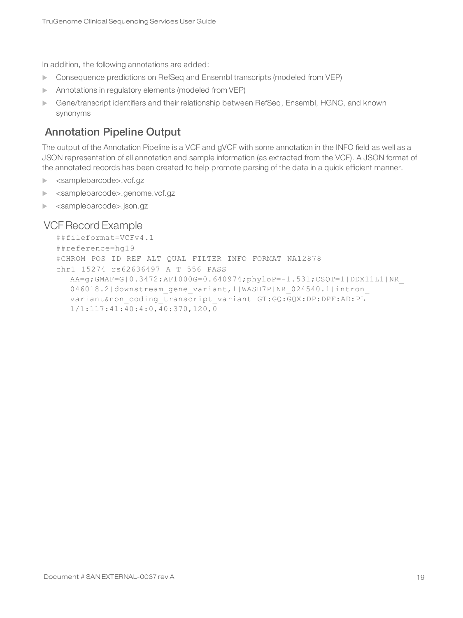In addition, the following annotations are added:

- **DED Consequence predictions on RefSeq and Ensembl transcripts (modeled from VEP)**
- **Annotations in regulatory elements (modeled from VEP)**
- **EXECTE CHEVER THEORY CHEVER IN A SET ASSET IS NOT A FIGURE 1** Gene/transcript identifiers and known synonyms

#### Annotation Pipeline Output

The output of the Annotation Pipeline is a VCF and gVCF with some annotation in the INFO field as well as a JSON representation of all annotation and sample information (as extracted from the VCF). A JSON format of the annotated records has been created to help promote parsing of the data in a quick efficient manner.

- ▶ <samplebarcode>.vcf.gz
- ▶ <samplebarcode>.genome.vcf.gz
- u <samplebarcode>.json.gz

#### VCF Record Example

```
##fileformat=VCFv4.1
##reference=hg19
#CHROM POS ID REF ALT QUAL FILTER INFO FORMAT NA12878
chr1 15274 rs62636497 A T 556 PASS
  AA=g;GMAF=G|0.3472;AF1000G=0.640974;phyloP=-1.531;CSQT=1|DDX11L1|NR_
  046018.2|downstream_gene_variant,1|WASH7P|NR_024540.1|intron
  variant&non_coding_transcript_variant GT:GQ:GQX:DP:DPF:AD:PL
  1/1:117:41:40:4:0,40:370,120,0
```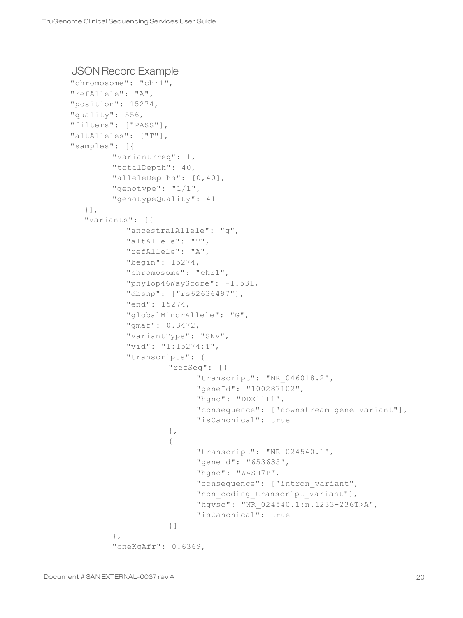#### JSON Record Example

```
"chromosome": "chr1",
"refAllele": "A",
"position": 15274,
"quality": 556,
"filters": ["PASS"],
"altAlleles": ["T"],
"samples": [{ 
         "variantFreq": 1,
         "totalDepth": 40,
        "alleleDepths": [0,40],
        "genotype": "1/1",
         "genotypeQuality": 41
   }],
   "variants": [{
            "ancestralAllele": "g",
            "altAllele": "T",
            "refAllele": "A",
           "begin": 15274,
            "chromosome": "chr1",
           "phylop46WayScore": -1.531,
           "dbsnp": ["rs62636497"],
           "end": 15274,
            "globalMinorAllele": "G",
            "gmaf": 0.3472,
            "variantType": "SNV",
            "vid": "1:15274:T",
            "transcripts": {
                     "refSeq": [{
                           "transcript": "NR_046018.2",
                          "geneId": "100287102",
                          "hgnc": "DDX11L1",
                          "consequence": ["downstream_gene_variant"],
                          "isCanonical": true
                    },
                     {
                          "transcript": "NR_024540.1",
                          "geneId": "653635",
                          "hgnc": "WASH7P",
                          "consequence": ["intron_variant",
                          "non coding transcript variant"],
                          "hgvsc": "NR_024540.1:n.1233-236T>A",
                          "isCanonical": true
                    }]
         },
         "oneKgAfr": 0.6369,
```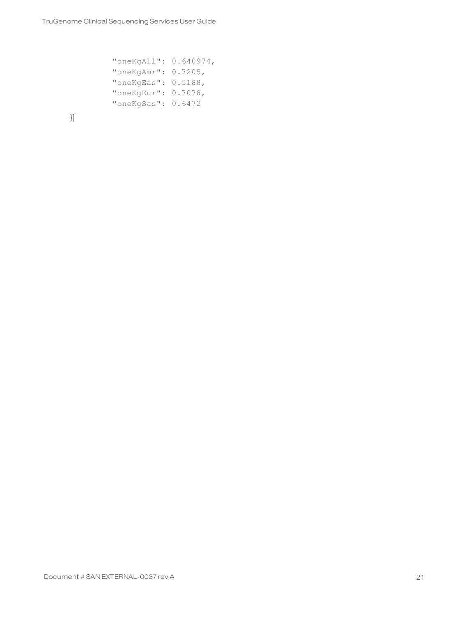```
"oneKgAll": 0.640974,
"oneKgAmr": 0.7205,
"oneKgEas": 0.5188,
"oneKgEur": 0.7078,
"oneKgSas": 0.6472
```
}]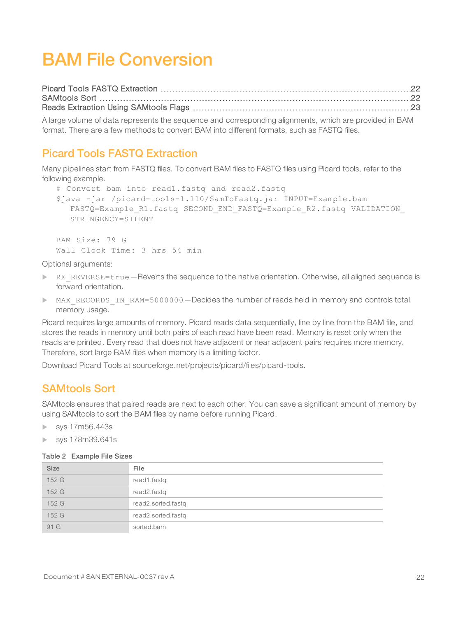## <span id="page-24-0"></span>BAM File Conversion

<span id="page-24-1"></span>A large volume of data represents the sequence and corresponding alignments, which are provided in BAM format. There are a few methods to convert BAM into different formats, such as FASTQ files.

#### Picard Tools FASTQ Extraction

Many pipelines start from FASTQ files. To convert BAM files to FASTQ files using Picard tools, refer to the following example.

```
# Convert bam into read1.fastq and read2.fastq
$java -jar /picard-tools-1.110/SamToFastq.jar INPUT=Example.bam
  FASTQ=Example R1.fastq SECOND END FASTQ=Example R2.fastq VALIDATION
  STRINGENCY=SILENT
```
BAM Size: 79 G Wall Clock Time: 3 hrs 54 min

Optional arguments:

- $\triangleright$  RE\_REVERSE=true Reverts the sequence to the native orientation. Otherwise, all aligned sequence is forward orientation.
- MAX\_RECORDS\_IN\_RAM=5000000-Decides the number of reads held in memory and controls total memory usage.

Picard requires large amounts of memory. Picard reads data sequentially, line by line from the BAM file, and stores the reads in memory until both pairs of each read have been read. Memory is reset only when the reads are printed. Every read that does not have adjacent or near adjacent pairs requires more memory. Therefore, sort large BAM files when memory is a limiting factor.

<span id="page-24-2"></span>Download Picard Tools at sourceforge.net/projects/picard/files/picard-tools.

#### SAMtools Sort

SAMtools ensures that paired reads are next to each other. You can save a significant amount of memory by using SAMtools to sort the BAM files by name before running Picard.

- $\blacktriangleright$  sys 17m56.443s
- $\blacktriangleright$  sys 178m39.641s

#### Table 2 Example File Sizes

| <b>Size</b> | File               |
|-------------|--------------------|
| 152 G       | read1.fastq        |
| 152 G       | read2.fastq        |
| 152 G       | read2.sorted.fastq |
| 152 G       | read2.sorted.fastq |
| 91 G        | sorted.bam         |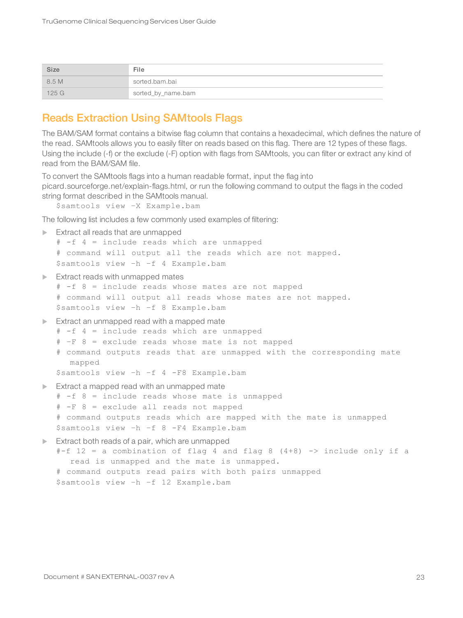| Size    | File               |
|---------|--------------------|
| 8.5 M   | sorted.bam.bai     |
| $125$ G | sorted_by_name.bam |

#### <span id="page-25-0"></span>Reads Extraction Using SAMtools Flags

The BAM/SAM format contains a bitwise flag column that contains a hexadecimal, which defines the nature of the read. SAMtools allows you to easily filter on reads based on this flag. There are 12 types of these flags. Using the include (-f) or the exclude (-F) option with flags from SAMtools, you can filter or extract any kind of read from the BAM/SAM file.

To convert the SAMtools flags into a human readable format, input the flag into picard.sourceforge.net/explain-flags.html, or run the following command to output the flags in the coded string format described in the SAMtools manual.

\$samtools view –X Example.bam

The following list includes a few commonly used examples of filtering:

```
\blacktriangleright Extract all reads that are unmapped
```

```
# -f 4 = include reads which are unmapped
# command will output all the reads which are not mapped.
$samtools view –h –f 4 Example.bam
```
 $\blacktriangleright$  Extract reads with unmapped mates

```
# -f 8 = include reads whose mates are not mapped
# command will output all reads whose mates are not mapped.
$samtools view –h –f 8 Example.bam
```
- $\blacktriangleright$  Extract an unmapped read with a mapped mate
	- # -f 4 = include reads which are unmapped
	- # –F 8 = exclude reads whose mate is not mapped
	- # command outputs reads that are unmapped with the corresponding mate mapped

\$samtools view –h –f 4 -F8 Example.bam

 $\blacktriangleright$  Extract a mapped read with an unmapped mate

# -f 8 = include reads whose mate is unmapped

# -F 8 = exclude all reads not mapped

```
# command outputs reads which are mapped with the mate is unmapped
$samtools view –h –f 8 -F4 Example.bam
```
 $\blacktriangleright$  Extract both reads of a pair, which are unmapped

```
#-f 12 = a combination of flag 4 and flag 8 (4+8) -> include only if a
  read is unmapped and the mate is unmapped.
# command outputs read pairs with both pairs unmapped
```
\$samtools view –h –f 12 Example.bam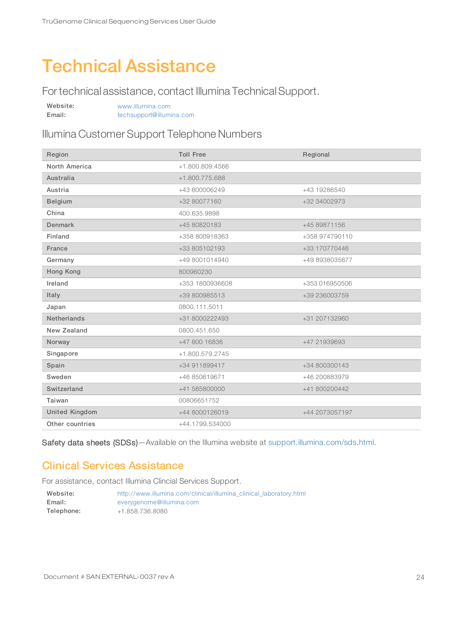## <span id="page-26-0"></span>Technical Assistance

For technical assistance, contact Illumina Technical Support.

| Website: | www.illumina.com         |  |
|----------|--------------------------|--|
| Email:   | techsupport@illumina.com |  |

#### Illumina Customer Support Telephone Numbers

| Region                | <b>Toll Free</b> | Regional       |
|-----------------------|------------------|----------------|
| North America         | +1.800.809.4566  |                |
| Australia             | +1.800.775.688   |                |
| Austria               | +43 800006249    | +43 19286540   |
| Belgium               | +32 80077160     | +32 34002973   |
| China                 | 400.635.9898     |                |
| Denmark               | +45 80820183     | +45 89871156   |
| Finland               | +358 800918363   | +358 974790110 |
| France                | +33 805102193    | +33 170770446  |
| Germany               | +49 8001014940   | +49 8938035677 |
| Hong Kong             | 800960230        |                |
| Ireland               | +353 1800936608  | +353 016950506 |
| Italy                 | +39 800985513    | +39 236003759  |
| Japan                 | 0800.111.5011    |                |
| <b>Netherlands</b>    | +31 8000222493   | +31 207132960  |
| New Zealand           | 0800.451.650     |                |
| Norway                | +47 800 16836    | +47 21939693   |
| Singapore             | +1.800.579.2745  |                |
| Spain                 | +34 911899417    | +34 800300143  |
| Sweden                | +46 850619671    | +46 200883979  |
| Switzerland           | +41 565800000    | +41 800200442  |
| Taiwan                | 00806651752      |                |
| <b>United Kingdom</b> | +44 8000126019   | +44 2073057197 |
| Other countries       | +44.1799.534000  |                |

<span id="page-26-1"></span>Safety data sheets (SDSs)-Available on the Illumina website at [support.illumina.com/sds.html.](http://support.illumina.com/sds.html)

#### Clinical Services Assistance

For assistance, contact Illumina Clincial Services Support.

| Website:   | http://www.illumina.com/clinical/illumina clinical laboratory.html |
|------------|--------------------------------------------------------------------|
| Email:     | everygenome@illumina.com                                           |
| Telephone: | +1.858.736.8080                                                    |